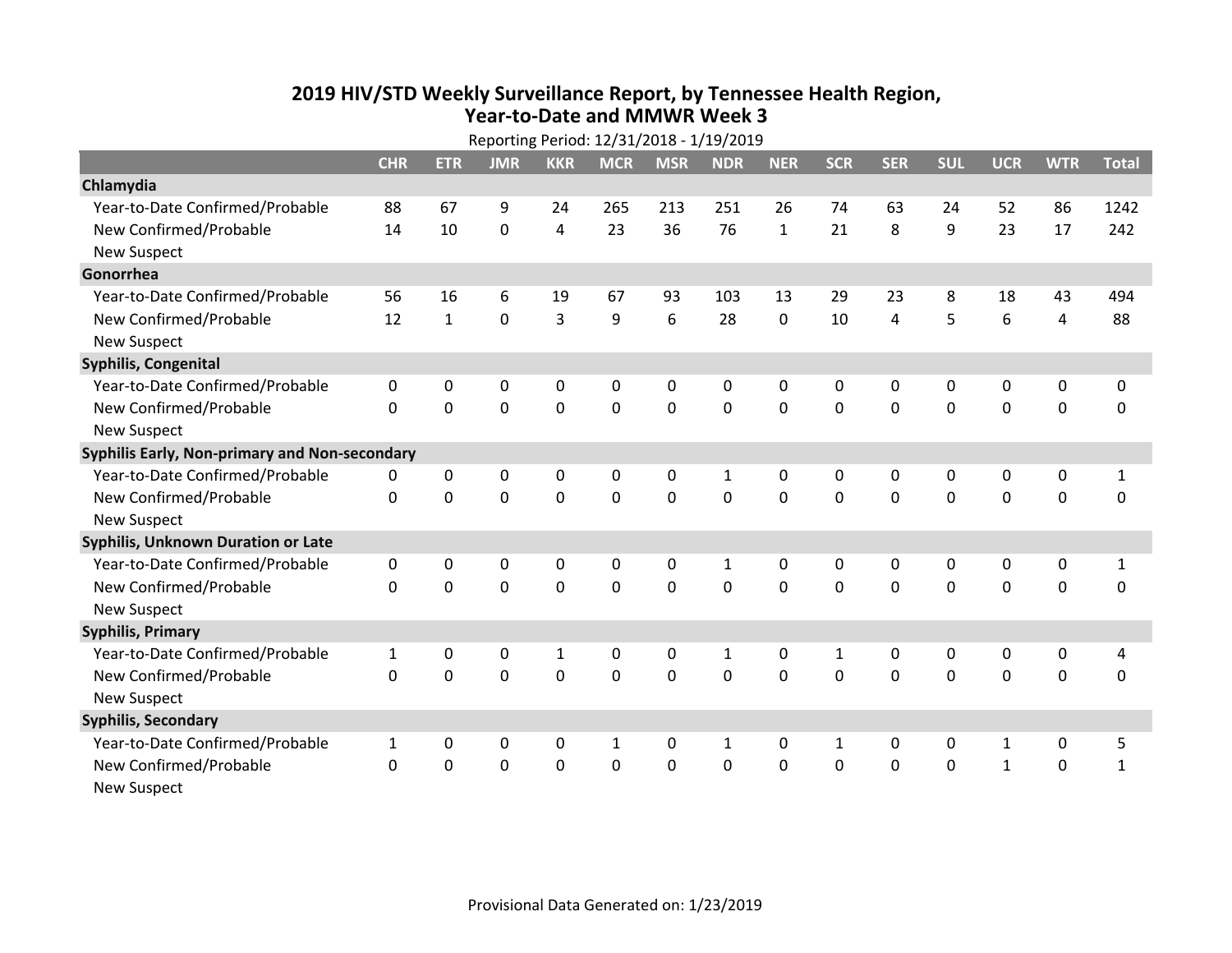## **2019 HIV /STD Weekly Surveillance Report, by Tennessee Health Region, Year‐to‐Date and MMWR Week 3**

| Reporting Period: 12/31/2018 - 1/19/2019      |              |              |             |             |              |             |              |              |              |                |             |              |                |                |
|-----------------------------------------------|--------------|--------------|-------------|-------------|--------------|-------------|--------------|--------------|--------------|----------------|-------------|--------------|----------------|----------------|
|                                               | <b>CHR</b>   | <b>ETR</b>   | <b>JMR</b>  | <b>KKR</b>  | <b>MCR</b>   | <b>MSR</b>  | <b>NDR</b>   | <b>NER</b>   | <b>SCR</b>   | <b>SER</b>     | <b>SUL</b>  | <b>UCR</b>   | <b>WTR</b>     | <b>Total</b>   |
| Chlamydia                                     |              |              |             |             |              |             |              |              |              |                |             |              |                |                |
| Year-to-Date Confirmed/Probable               | 88           | 67           | 9           | 24          | 265          | 213         | 251          | 26           | 74           | 63             | 24          | 52           | 86             | 1242           |
| New Confirmed/Probable                        | 14           | 10           | 0           | 4           | 23           | 36          | 76           | $\mathbf{1}$ | 21           | 8              | 9           | 23           | 17             | 242            |
| <b>New Suspect</b>                            |              |              |             |             |              |             |              |              |              |                |             |              |                |                |
| Gonorrhea                                     |              |              |             |             |              |             |              |              |              |                |             |              |                |                |
| Year-to-Date Confirmed/Probable               | 56           | 16           | 6           | 19          | 67           | 93          | 103          | 13           | 29           | 23             | 8           | 18           | 43             | 494            |
| New Confirmed/Probable                        | 12           | $\mathbf{1}$ | 0           | 3           | 9            | 6           | 28           | 0            | 10           | $\overline{4}$ | 5           | 6            | $\overline{4}$ | 88             |
| <b>New Suspect</b>                            |              |              |             |             |              |             |              |              |              |                |             |              |                |                |
| Syphilis, Congenital                          |              |              |             |             |              |             |              |              |              |                |             |              |                |                |
| Year-to-Date Confirmed/Probable               | 0            | 0            | 0           | 0           | 0            | 0           | 0            | 0            | 0            | 0              | 0           | 0            | 0              | 0              |
| New Confirmed/Probable                        | $\mathbf{0}$ | 0            | 0           | $\mathbf 0$ | 0            | $\mathbf 0$ | $\mathbf 0$  | $\mathbf 0$  | $\mathbf 0$  | $\mathbf 0$    | 0           | $\mathbf 0$  | $\mathbf 0$    | $\mathbf 0$    |
| <b>New Suspect</b>                            |              |              |             |             |              |             |              |              |              |                |             |              |                |                |
| Syphilis Early, Non-primary and Non-secondary |              |              |             |             |              |             |              |              |              |                |             |              |                |                |
| Year-to-Date Confirmed/Probable               | 0            | 0            | 0           | 0           | 0            | 0           | 1            | 0            | 0            | 0              | 0           | 0            | 0              | $\mathbf{1}$   |
| New Confirmed/Probable                        | $\mathbf{0}$ | $\mathbf{0}$ | 0           | $\mathbf 0$ | 0            | $\mathbf 0$ | $\mathbf 0$  | $\mathbf 0$  | 0            | $\mathbf 0$    | 0           | 0            | $\mathbf 0$    | $\pmb{0}$      |
| <b>New Suspect</b>                            |              |              |             |             |              |             |              |              |              |                |             |              |                |                |
| <b>Syphilis, Unknown Duration or Late</b>     |              |              |             |             |              |             |              |              |              |                |             |              |                |                |
| Year-to-Date Confirmed/Probable               | 0            | 0            | 0           | 0           | 0            | 0           | $\mathbf{1}$ | $\mathbf{0}$ | $\mathbf{0}$ | 0              | 0           | 0            | 0              | 1              |
| New Confirmed/Probable                        | $\Omega$     | $\Omega$     | 0           | 0           | 0            | $\mathbf 0$ | $\mathbf 0$  | $\Omega$     | $\Omega$     | $\Omega$       | 0           | $\Omega$     | $\mathbf 0$    | 0              |
| <b>New Suspect</b>                            |              |              |             |             |              |             |              |              |              |                |             |              |                |                |
| <b>Syphilis, Primary</b>                      |              |              |             |             |              |             |              |              |              |                |             |              |                |                |
| Year-to-Date Confirmed/Probable               | $\mathbf{1}$ | 0            | 0           | 1           | 0            | 0           | $\mathbf{1}$ | 0            | $\mathbf{1}$ | 0              | 0           | $\mathbf 0$  | 0              | $\overline{4}$ |
| New Confirmed/Probable                        | 0            | $\mathbf 0$  | 0           | $\mathbf 0$ | 0            | $\mathbf 0$ | $\mathbf 0$  | $\Omega$     | $\Omega$     | $\Omega$       | 0           | $\mathbf 0$  | $\mathbf 0$    | $\mathbf 0$    |
| <b>New Suspect</b>                            |              |              |             |             |              |             |              |              |              |                |             |              |                |                |
| <b>Syphilis, Secondary</b>                    |              |              |             |             |              |             |              |              |              |                |             |              |                |                |
| Year-to-Date Confirmed/Probable               | $\mathbf{1}$ | 0            | $\mathbf 0$ | 0           | $\mathbf{1}$ | 0           | $\mathbf{1}$ | 0            | $\mathbf{1}$ | $\mathbf 0$    | $\mathbf 0$ | $\mathbf{1}$ | 0              | 5              |
| New Confirmed/Probable                        | $\Omega$     | 0            | 0           | $\mathbf 0$ | 0            | $\mathbf 0$ | 0            | 0            | 0            | $\mathbf 0$    | 0           | $\mathbf{1}$ | $\mathbf 0$    | $\mathbf{1}$   |
| <b>New Suspect</b>                            |              |              |             |             |              |             |              |              |              |                |             |              |                |                |